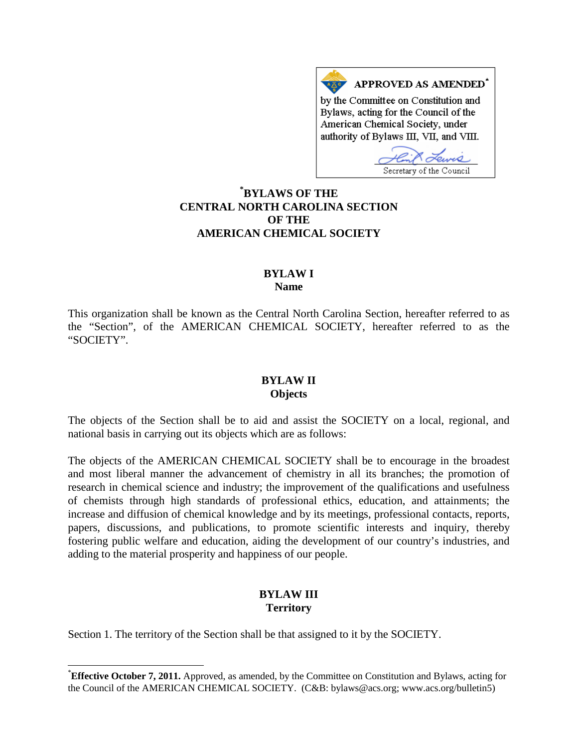APPROVED AS AMENDED<sup>\*</sup> by the Committee on Constitution and Bylaws, acting for the Council of the American Chemical Society, under authority of Bylaws III, VII, and VIII.

Secretary of the Council

**[\\*](#page-0-0) BYLAWS OF THE CENTRAL NORTH CAROLINA SECTION OF THE AMERICAN CHEMICAL SOCIETY**

### **BYLAW I Name**

This organization shall be known as the Central North Carolina Section, hereafter referred to as the "Section", of the AMERICAN CHEMICAL SOCIETY, hereafter referred to as the "SOCIETY".

#### **BYLAW II Objects**

The objects of the Section shall be to aid and assist the SOCIETY on a local, regional, and national basis in carrying out its objects which are as follows:

The objects of the AMERICAN CHEMICAL SOCIETY shall be to encourage in the broadest and most liberal manner the advancement of chemistry in all its branches; the promotion of research in chemical science and industry; the improvement of the qualifications and usefulness of chemists through high standards of professional ethics, education, and attainments; the increase and diffusion of chemical knowledge and by its meetings, professional contacts, reports, papers, discussions, and publications, to promote scientific interests and inquiry, thereby fostering public welfare and education, aiding the development of our country's industries, and adding to the material prosperity and happiness of our people.

# **BYLAW III Territory**

Section 1. The territory of the Section shall be that assigned to it by the SOCIETY.

<span id="page-0-0"></span><sup>\*</sup>**Effective October 7, 2011.** Approved, as amended, by the Committee on Constitution and Bylaws, acting for the Council of the AMERICAN CHEMICAL SOCIETY. (C&B: bylaws@acs.org; www.acs.org/bulletin5)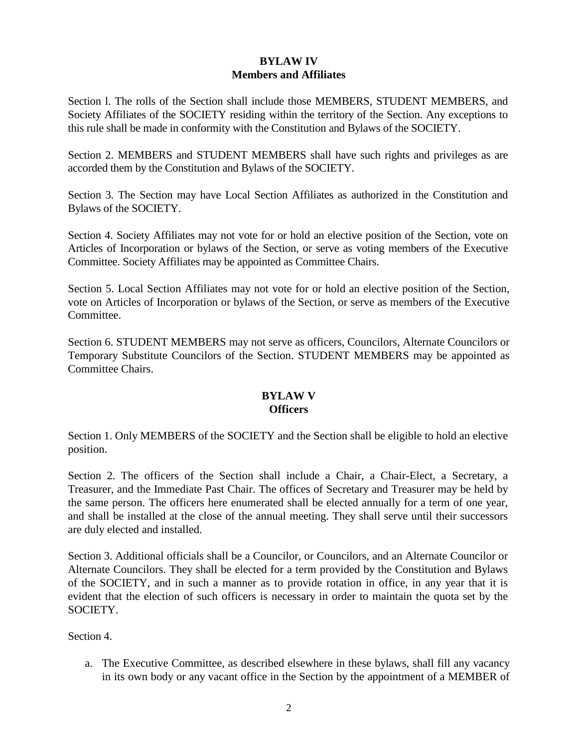# **BYLAW IV Members and Affiliates**

Section l. The rolls of the Section shall include those MEMBERS, STUDENT MEMBERS, and Society Affiliates of the SOCIETY residing within the territory of the Section. Any exceptions to this rule shall be made in conformity with the Constitution and Bylaws of the SOCIETY.

Section 2. MEMBERS and STUDENT MEMBERS shall have such rights and privileges as are accorded them by the Constitution and Bylaws of the SOCIETY.

Section 3. The Section may have Local Section Affiliates as authorized in the Constitution and Bylaws of the SOCIETY.

Section 4. Society Affiliates may not vote for or hold an elective position of the Section, vote on Articles of Incorporation or bylaws of the Section, or serve as voting members of the Executive Committee. Society Affiliates may be appointed as Committee Chairs.

Section 5. Local Section Affiliates may not vote for or hold an elective position of the Section, vote on Articles of Incorporation or bylaws of the Section, or serve as members of the Executive Committee.

Section 6. STUDENT MEMBERS may not serve as officers, Councilors, Alternate Councilors or Temporary Substitute Councilors of the Section. STUDENT MEMBERS may be appointed as Committee Chairs.

# **BYLAW V Officers**

Section 1. Only MEMBERS of the SOCIETY and the Section shall be eligible to hold an elective position.

Section 2. The officers of the Section shall include a Chair, a Chair-Elect, a Secretary, a Treasurer, and the Immediate Past Chair. The offices of Secretary and Treasurer may be held by the same person. The officers here enumerated shall be elected annually for a term of one year, and shall be installed at the close of the annual meeting. They shall serve until their successors are duly elected and installed.

Section 3. Additional officials shall be a Councilor, or Councilors, and an Alternate Councilor or Alternate Councilors. They shall be elected for a term provided by the Constitution and Bylaws of the SOCIETY, and in such a manner as to provide rotation in office, in any year that it is evident that the election of such officers is necessary in order to maintain the quota set by the SOCIETY.

Section 4.

a. The Executive Committee, as described elsewhere in these bylaws, shall fill any vacancy in its own body or any vacant office in the Section by the appointment of a MEMBER of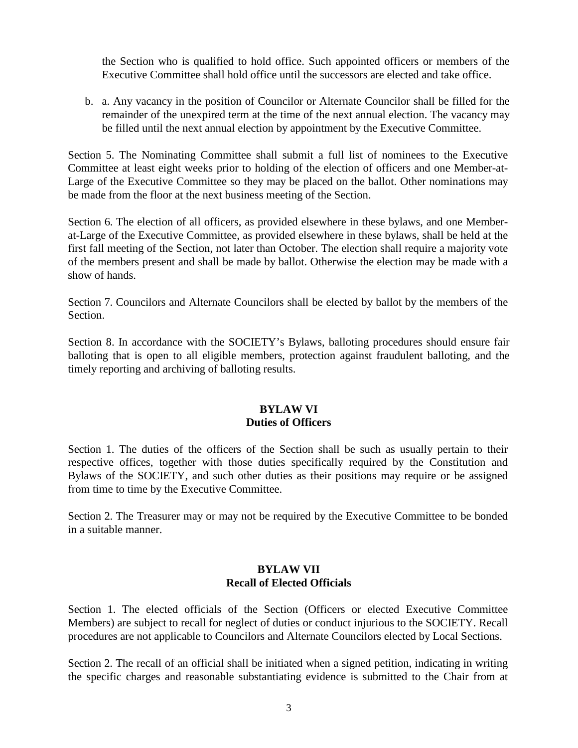the Section who is qualified to hold office. Such appointed officers or members of the Executive Committee shall hold office until the successors are elected and take office.

b. a. Any vacancy in the position of Councilor or Alternate Councilor shall be filled for the remainder of the unexpired term at the time of the next annual election. The vacancy may be filled until the next annual election by appointment by the Executive Committee.

Section 5. The Nominating Committee shall submit a full list of nominees to the Executive Committee at least eight weeks prior to holding of the election of officers and one Member-at-Large of the Executive Committee so they may be placed on the ballot. Other nominations may be made from the floor at the next business meeting of the Section.

Section 6. The election of all officers, as provided elsewhere in these bylaws, and one Memberat-Large of the Executive Committee, as provided elsewhere in these bylaws, shall be held at the first fall meeting of the Section, not later than October. The election shall require a majority vote of the members present and shall be made by ballot. Otherwise the election may be made with a show of hands.

Section 7. Councilors and Alternate Councilors shall be elected by ballot by the members of the Section.

Section 8. In accordance with the SOCIETY's Bylaws, balloting procedures should ensure fair balloting that is open to all eligible members, protection against fraudulent balloting, and the timely reporting and archiving of balloting results.

# **BYLAW VI Duties of Officers**

Section 1. The duties of the officers of the Section shall be such as usually pertain to their respective offices, together with those duties specifically required by the Constitution and Bylaws of the SOCIETY, and such other duties as their positions may require or be assigned from time to time by the Executive Committee.

Section 2. The Treasurer may or may not be required by the Executive Committee to be bonded in a suitable manner.

#### **BYLAW VII Recall of Elected Officials**

Section 1. The elected officials of the Section (Officers or elected Executive Committee Members) are subject to recall for neglect of duties or conduct injurious to the SOCIETY. Recall procedures are not applicable to Councilors and Alternate Councilors elected by Local Sections.

Section 2. The recall of an official shall be initiated when a signed petition, indicating in writing the specific charges and reasonable substantiating evidence is submitted to the Chair from at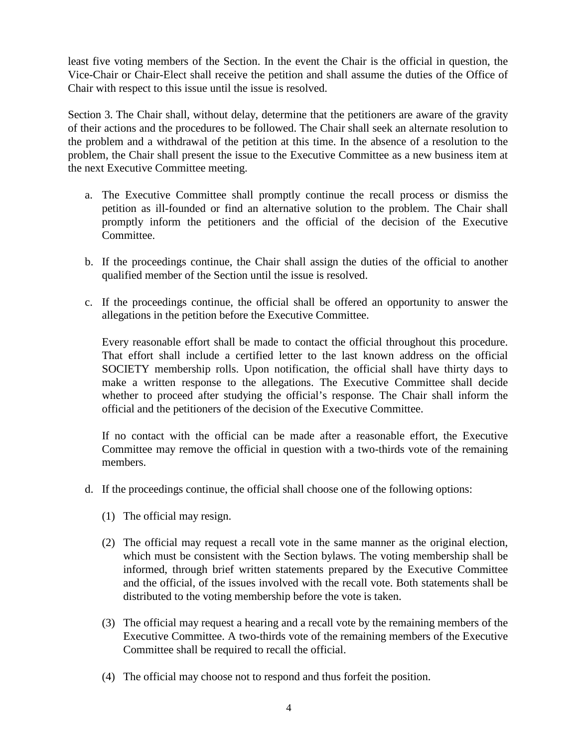least five voting members of the Section. In the event the Chair is the official in question, the Vice-Chair or Chair-Elect shall receive the petition and shall assume the duties of the Office of Chair with respect to this issue until the issue is resolved.

Section 3. The Chair shall, without delay, determine that the petitioners are aware of the gravity of their actions and the procedures to be followed. The Chair shall seek an alternate resolution to the problem and a withdrawal of the petition at this time. In the absence of a resolution to the problem, the Chair shall present the issue to the Executive Committee as a new business item at the next Executive Committee meeting.

- a. The Executive Committee shall promptly continue the recall process or dismiss the petition as ill-founded or find an alternative solution to the problem. The Chair shall promptly inform the petitioners and the official of the decision of the Executive Committee.
- b. If the proceedings continue, the Chair shall assign the duties of the official to another qualified member of the Section until the issue is resolved.
- c. If the proceedings continue, the official shall be offered an opportunity to answer the allegations in the petition before the Executive Committee.

Every reasonable effort shall be made to contact the official throughout this procedure. That effort shall include a certified letter to the last known address on the official SOCIETY membership rolls. Upon notification, the official shall have thirty days to make a written response to the allegations. The Executive Committee shall decide whether to proceed after studying the official's response. The Chair shall inform the official and the petitioners of the decision of the Executive Committee.

If no contact with the official can be made after a reasonable effort, the Executive Committee may remove the official in question with a two-thirds vote of the remaining members.

- d. If the proceedings continue, the official shall choose one of the following options:
	- (1) The official may resign.
	- (2) The official may request a recall vote in the same manner as the original election, which must be consistent with the Section bylaws. The voting membership shall be informed, through brief written statements prepared by the Executive Committee and the official, of the issues involved with the recall vote. Both statements shall be distributed to the voting membership before the vote is taken.
	- (3) The official may request a hearing and a recall vote by the remaining members of the Executive Committee. A two-thirds vote of the remaining members of the Executive Committee shall be required to recall the official.
	- (4) The official may choose not to respond and thus forfeit the position.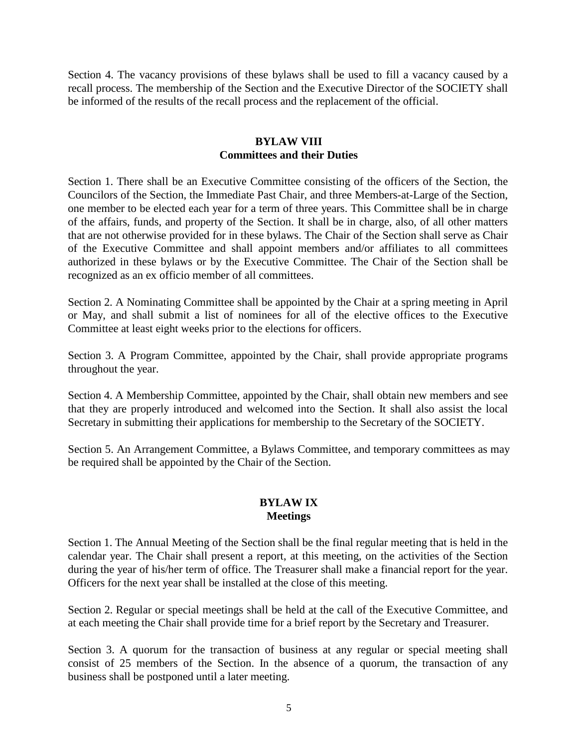Section 4. The vacancy provisions of these bylaws shall be used to fill a vacancy caused by a recall process. The membership of the Section and the Executive Director of the SOCIETY shall be informed of the results of the recall process and the replacement of the official.

#### **BYLAW VIII Committees and their Duties**

Section 1. There shall be an Executive Committee consisting of the officers of the Section, the Councilors of the Section, the Immediate Past Chair, and three Members-at-Large of the Section, one member to be elected each year for a term of three years. This Committee shall be in charge of the affairs, funds, and property of the Section. It shall be in charge, also, of all other matters that are not otherwise provided for in these bylaws. The Chair of the Section shall serve as Chair of the Executive Committee and shall appoint members and/or affiliates to all committees authorized in these bylaws or by the Executive Committee. The Chair of the Section shall be recognized as an ex officio member of all committees.

Section 2. A Nominating Committee shall be appointed by the Chair at a spring meeting in April or May, and shall submit a list of nominees for all of the elective offices to the Executive Committee at least eight weeks prior to the elections for officers.

Section 3. A Program Committee, appointed by the Chair, shall provide appropriate programs throughout the year.

Section 4. A Membership Committee, appointed by the Chair, shall obtain new members and see that they are properly introduced and welcomed into the Section. It shall also assist the local Secretary in submitting their applications for membership to the Secretary of the SOCIETY.

Section 5. An Arrangement Committee, a Bylaws Committee, and temporary committees as may be required shall be appointed by the Chair of the Section.

### **BYLAW IX Meetings**

Section 1. The Annual Meeting of the Section shall be the final regular meeting that is held in the calendar year. The Chair shall present a report, at this meeting, on the activities of the Section during the year of his/her term of office. The Treasurer shall make a financial report for the year. Officers for the next year shall be installed at the close of this meeting.

Section 2. Regular or special meetings shall be held at the call of the Executive Committee, and at each meeting the Chair shall provide time for a brief report by the Secretary and Treasurer.

Section 3. A quorum for the transaction of business at any regular or special meeting shall consist of 25 members of the Section. In the absence of a quorum, the transaction of any business shall be postponed until a later meeting.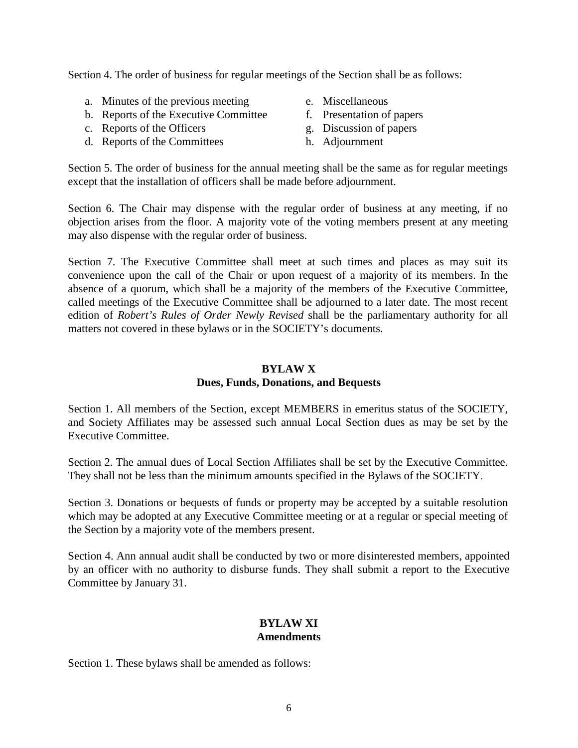Section 4. The order of business for regular meetings of the Section shall be as follows:

- a. Minutes of the previous meeting
- b. Reports of the Executive Committee
- c. Reports of the Officers
- d. Reports of the Committees
- e. Miscellaneous
- f. Presentation of papers
- g. Discussion of papers
- h. Adjournment

Section 5. The order of business for the annual meeting shall be the same as for regular meetings except that the installation of officers shall be made before adjournment.

Section 6. The Chair may dispense with the regular order of business at any meeting, if no objection arises from the floor. A majority vote of the voting members present at any meeting may also dispense with the regular order of business.

Section 7. The Executive Committee shall meet at such times and places as may suit its convenience upon the call of the Chair or upon request of a majority of its members. In the absence of a quorum, which shall be a majority of the members of the Executive Committee, called meetings of the Executive Committee shall be adjourned to a later date. The most recent edition of *Robert's Rules of Order Newly Revised* shall be the parliamentary authority for all matters not covered in these bylaws or in the SOCIETY's documents.

### **BYLAW X Dues, Funds, Donations, and Bequests**

Section 1. All members of the Section, except MEMBERS in emeritus status of the SOCIETY, and Society Affiliates may be assessed such annual Local Section dues as may be set by the Executive Committee.

Section 2. The annual dues of Local Section Affiliates shall be set by the Executive Committee. They shall not be less than the minimum amounts specified in the Bylaws of the SOCIETY.

Section 3. Donations or bequests of funds or property may be accepted by a suitable resolution which may be adopted at any Executive Committee meeting or at a regular or special meeting of the Section by a majority vote of the members present.

Section 4. Ann annual audit shall be conducted by two or more disinterested members, appointed by an officer with no authority to disburse funds. They shall submit a report to the Executive Committee by January 31.

# **BYLAW XI Amendments**

Section 1. These bylaws shall be amended as follows: